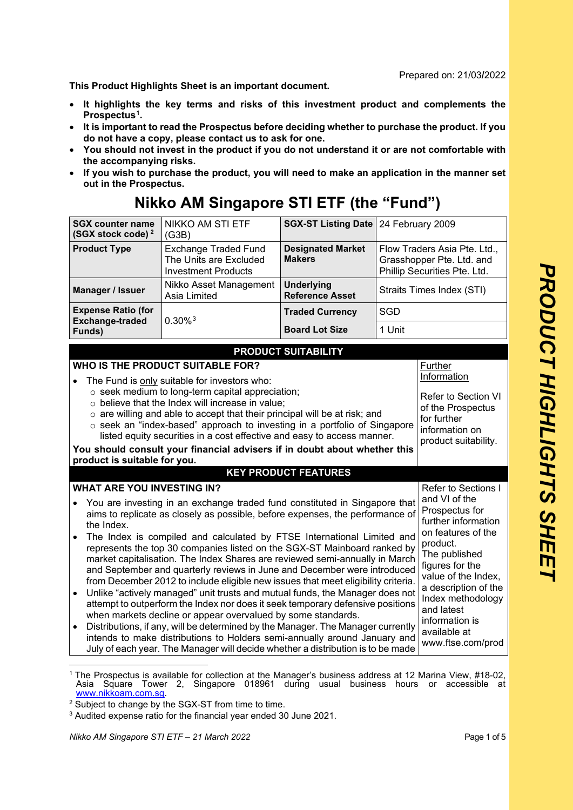Prepared on: 21/03**/**2022

**This Product Highlights Sheet is an important document.** 

- **It highlights the key terms and risks of this investment product and complements the Prospectus[1](#page-0-0).**
- **It is important to read the Prospectus before deciding whether to purchase the product. If you do not have a copy, please contact us to ask for one.**
- **You should not invest in the product if you do not understand it or are not comfortable with the accompanying risks.**
- **If you wish to purchase the product, you will need to make an application in the manner set out in the Prospectus.**

| <b>SGX counter name</b><br><b>NIKKO AM STI ETF</b><br>(SGX stock code) <sup>2</sup><br>(G3B)                                                                                                                                                                                                                                                                                                                                                                                                                                                                                                                                                                                                                                                                                                                                                                                                                                                                                                                                                                                                                                                                                                                                                                                                                                                                                     |                                                                                     | SGX-ST Listing Date   24 February 2009      |            |                                                                                           |  |
|----------------------------------------------------------------------------------------------------------------------------------------------------------------------------------------------------------------------------------------------------------------------------------------------------------------------------------------------------------------------------------------------------------------------------------------------------------------------------------------------------------------------------------------------------------------------------------------------------------------------------------------------------------------------------------------------------------------------------------------------------------------------------------------------------------------------------------------------------------------------------------------------------------------------------------------------------------------------------------------------------------------------------------------------------------------------------------------------------------------------------------------------------------------------------------------------------------------------------------------------------------------------------------------------------------------------------------------------------------------------------------|-------------------------------------------------------------------------------------|---------------------------------------------|------------|-------------------------------------------------------------------------------------------|--|
| <b>Product Type</b>                                                                                                                                                                                                                                                                                                                                                                                                                                                                                                                                                                                                                                                                                                                                                                                                                                                                                                                                                                                                                                                                                                                                                                                                                                                                                                                                                              | <b>Exchange Traded Fund</b><br>The Units are Excluded<br><b>Investment Products</b> | <b>Designated Market</b><br><b>Makers</b>   |            | Flow Traders Asia Pte. Ltd.,<br>Grasshopper Pte. Ltd. and<br>Phillip Securities Pte. Ltd. |  |
| Manager / Issuer                                                                                                                                                                                                                                                                                                                                                                                                                                                                                                                                                                                                                                                                                                                                                                                                                                                                                                                                                                                                                                                                                                                                                                                                                                                                                                                                                                 | Nikko Asset Management<br>Asia Limited                                              | <b>Underlying</b><br><b>Reference Asset</b> |            | Straits Times Index (STI)                                                                 |  |
| <b>Expense Ratio (for</b><br><b>Exchange-traded</b>                                                                                                                                                                                                                                                                                                                                                                                                                                                                                                                                                                                                                                                                                                                                                                                                                                                                                                                                                                                                                                                                                                                                                                                                                                                                                                                              | $0.30\%$ <sup>3</sup>                                                               | <b>Traded Currency</b>                      | <b>SGD</b> |                                                                                           |  |
| Funds)                                                                                                                                                                                                                                                                                                                                                                                                                                                                                                                                                                                                                                                                                                                                                                                                                                                                                                                                                                                                                                                                                                                                                                                                                                                                                                                                                                           |                                                                                     | <b>Board Lot Size</b>                       | 1 Unit     |                                                                                           |  |
|                                                                                                                                                                                                                                                                                                                                                                                                                                                                                                                                                                                                                                                                                                                                                                                                                                                                                                                                                                                                                                                                                                                                                                                                                                                                                                                                                                                  |                                                                                     | <b>PRODUCT SUITABILITY</b>                  |            |                                                                                           |  |
| WHO IS THE PRODUCT SUITABLE FOR?<br>Further<br>Information<br>The Fund is only suitable for investors who:<br>o seek medium to long-term capital appreciation;<br>Refer to Section VI<br>o believe that the Index will increase in value;<br>of the Prospectus<br>$\circ$ are willing and able to accept that their principal will be at risk; and<br>for further<br>o seek an "index-based" approach to investing in a portfolio of Singapore<br>information on<br>listed equity securities in a cost effective and easy to access manner.<br>product suitability.<br>You should consult your financial advisers if in doubt about whether this<br>product is suitable for you.<br><b>KEY PRODUCT FEATURES</b>                                                                                                                                                                                                                                                                                                                                                                                                                                                                                                                                                                                                                                                                  |                                                                                     |                                             |            |                                                                                           |  |
| <b>WHAT ARE YOU INVESTING IN?</b><br>Refer to Sections I                                                                                                                                                                                                                                                                                                                                                                                                                                                                                                                                                                                                                                                                                                                                                                                                                                                                                                                                                                                                                                                                                                                                                                                                                                                                                                                         |                                                                                     |                                             |            | and VI of the                                                                             |  |
| You are investing in an exchange traded fund constituted in Singapore that<br>$\bullet$<br>Prospectus for<br>aims to replicate as closely as possible, before expenses, the performance of<br>further information<br>the Index.<br>on features of the<br>The Index is compiled and calculated by FTSE International Limited and<br>$\bullet$<br>product.<br>represents the top 30 companies listed on the SGX-ST Mainboard ranked by<br>The published<br>market capitalisation. The Index Shares are reviewed semi-annually in March<br>figures for the<br>and September and quarterly reviews in June and December were introduced<br>value of the Index,<br>from December 2012 to include eligible new issues that meet eligibility criteria.<br>a description of the<br>Unlike "actively managed" unit trusts and mutual funds, the Manager does not<br>$\bullet$<br>Index methodology<br>attempt to outperform the Index nor does it seek temporary defensive positions<br>and latest<br>when markets decline or appear overvalued by some standards.<br>information is<br>Distributions, if any, will be determined by the Manager. The Manager currently<br>$\bullet$<br>available at<br>intends to make distributions to Holders semi-annually around January and<br>www.ftse.com/prod<br>July of each year. The Manager will decide whether a distribution is to be made |                                                                                     |                                             |            |                                                                                           |  |

## **Nikko AM Singapore STI ETF (the "Fund")**

<span id="page-0-0"></span><sup>1</sup> The Prospectus is available for collection at the Manager's business address at 12 Marina View, #18-02, Asia Square Tower 2, Singapore 018961 during usual business hours or accessible at www.nikkoam.com.sg.

<span id="page-0-1"></span><sup>&</sup>lt;sup>2</sup> Subject to change by the SGX-ST from time to time.

<span id="page-0-2"></span><sup>3</sup> Audited expense ratio for the financial year ended 30 June 2021.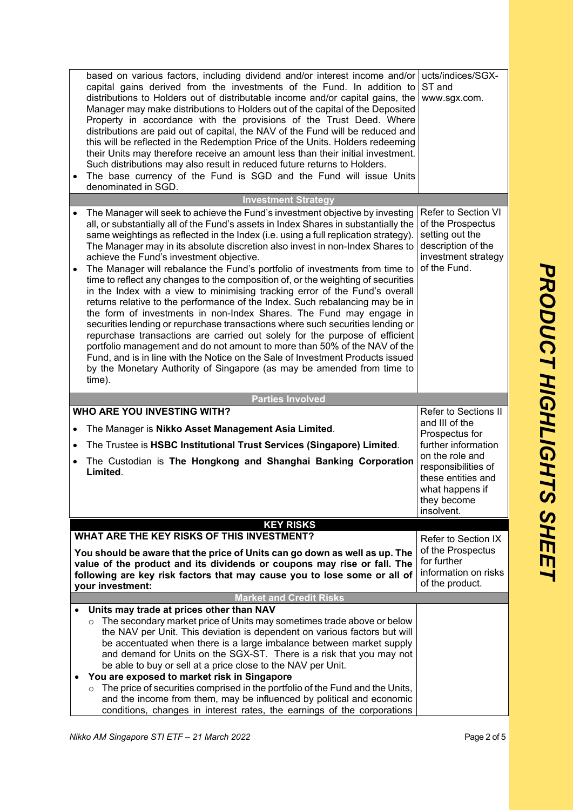|           | based on various factors, including dividend and/or interest income and/or<br>capital gains derived from the investments of the Fund. In addition to<br>distributions to Holders out of distributable income and/or capital gains, the<br>Manager may make distributions to Holders out of the capital of the Deposited<br>Property in accordance with the provisions of the Trust Deed. Where<br>distributions are paid out of capital, the NAV of the Fund will be reduced and<br>this will be reflected in the Redemption Price of the Units. Holders redeeming<br>their Units may therefore receive an amount less than their initial investment.<br>Such distributions may also result in reduced future returns to Holders.<br>The base currency of the Fund is SGD and the Fund will issue Units<br>denominated in SGD.                                                                                                                                                                                                                                                                                                                                                                                         | ucts/indices/SGX-<br>ST and<br>www.sgx.com.                                                                                                                                                     |
|-----------|------------------------------------------------------------------------------------------------------------------------------------------------------------------------------------------------------------------------------------------------------------------------------------------------------------------------------------------------------------------------------------------------------------------------------------------------------------------------------------------------------------------------------------------------------------------------------------------------------------------------------------------------------------------------------------------------------------------------------------------------------------------------------------------------------------------------------------------------------------------------------------------------------------------------------------------------------------------------------------------------------------------------------------------------------------------------------------------------------------------------------------------------------------------------------------------------------------------------|-------------------------------------------------------------------------------------------------------------------------------------------------------------------------------------------------|
|           | <b>Investment Strategy</b>                                                                                                                                                                                                                                                                                                                                                                                                                                                                                                                                                                                                                                                                                                                                                                                                                                                                                                                                                                                                                                                                                                                                                                                             |                                                                                                                                                                                                 |
| $\bullet$ | The Manager will seek to achieve the Fund's investment objective by investing<br>all, or substantially all of the Fund's assets in Index Shares in substantially the<br>same weightings as reflected in the Index (i.e. using a full replication strategy).<br>The Manager may in its absolute discretion also invest in non-Index Shares to<br>achieve the Fund's investment objective.<br>The Manager will rebalance the Fund's portfolio of investments from time to<br>time to reflect any changes to the composition of, or the weighting of securities<br>in the Index with a view to minimising tracking error of the Fund's overall<br>returns relative to the performance of the Index. Such rebalancing may be in<br>the form of investments in non-Index Shares. The Fund may engage in<br>securities lending or repurchase transactions where such securities lending or<br>repurchase transactions are carried out solely for the purpose of efficient<br>portfolio management and do not amount to more than 50% of the NAV of the<br>Fund, and is in line with the Notice on the Sale of Investment Products issued<br>by the Monetary Authority of Singapore (as may be amended from time to<br>time). | Refer to Section VI<br>of the Prospectus<br>setting out the<br>description of the<br>investment strategy<br>of the Fund.                                                                        |
|           |                                                                                                                                                                                                                                                                                                                                                                                                                                                                                                                                                                                                                                                                                                                                                                                                                                                                                                                                                                                                                                                                                                                                                                                                                        |                                                                                                                                                                                                 |
|           |                                                                                                                                                                                                                                                                                                                                                                                                                                                                                                                                                                                                                                                                                                                                                                                                                                                                                                                                                                                                                                                                                                                                                                                                                        |                                                                                                                                                                                                 |
| $\bullet$ | <b>Parties Involved</b><br><b>WHO ARE YOU INVESTING WITH?</b><br>The Manager is Nikko Asset Management Asia Limited.<br>The Trustee is HSBC Institutional Trust Services (Singapore) Limited.<br>The Custodian is The Hongkong and Shanghai Banking Corporation<br>Limited.                                                                                                                                                                                                                                                                                                                                                                                                                                                                                                                                                                                                                                                                                                                                                                                                                                                                                                                                            | Refer to Sections II<br>and III of the<br>Prospectus for<br>further information<br>on the role and<br>responsibilities of<br>these entities and<br>what happens if<br>they become<br>insolvent. |
|           | <b>KEY RISKS</b>                                                                                                                                                                                                                                                                                                                                                                                                                                                                                                                                                                                                                                                                                                                                                                                                                                                                                                                                                                                                                                                                                                                                                                                                       |                                                                                                                                                                                                 |
|           | WHAT ARE THE KEY RISKS OF THIS INVESTMENT?<br>You should be aware that the price of Units can go down as well as up. The<br>value of the product and its dividends or coupons may rise or fall. The<br>following are key risk factors that may cause you to lose some or all of<br>your investment:                                                                                                                                                                                                                                                                                                                                                                                                                                                                                                                                                                                                                                                                                                                                                                                                                                                                                                                    | Refer to Section IX<br>of the Prospectus<br>for further<br>information on risks<br>of the product.                                                                                              |
|           | <b>Market and Credit Risks</b>                                                                                                                                                                                                                                                                                                                                                                                                                                                                                                                                                                                                                                                                                                                                                                                                                                                                                                                                                                                                                                                                                                                                                                                         |                                                                                                                                                                                                 |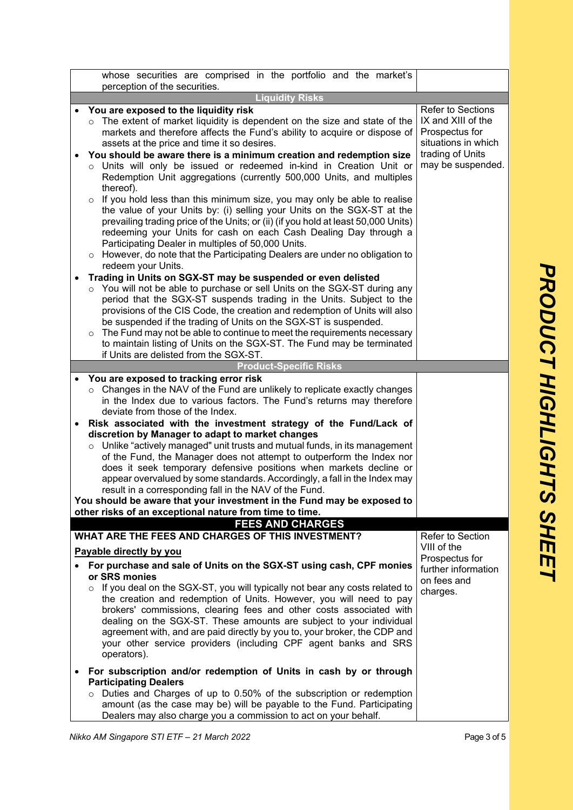|  | whose securities are comprised in the portfolio and the market's<br>perception of the securities.                                                                                                                                                                                                                                                                                                                                                                                                                                                                                                                                       |                                                                                         |
|--|-----------------------------------------------------------------------------------------------------------------------------------------------------------------------------------------------------------------------------------------------------------------------------------------------------------------------------------------------------------------------------------------------------------------------------------------------------------------------------------------------------------------------------------------------------------------------------------------------------------------------------------------|-----------------------------------------------------------------------------------------|
|  | <b>Liquidity Risks</b>                                                                                                                                                                                                                                                                                                                                                                                                                                                                                                                                                                                                                  |                                                                                         |
|  | You are exposed to the liquidity risk<br>The extent of market liquidity is dependent on the size and state of the<br>$\circ$<br>markets and therefore affects the Fund's ability to acquire or dispose of<br>assets at the price and time it so desires.                                                                                                                                                                                                                                                                                                                                                                                | <b>Refer to Sections</b><br>IX and XIII of the<br>Prospectus for<br>situations in which |
|  | You should be aware there is a minimum creation and redemption size<br>o Units will only be issued or redeemed in-kind in Creation Unit or<br>Redemption Unit aggregations (currently 500,000 Units, and multiples<br>thereof).<br>If you hold less than this minimum size, you may only be able to realise<br>$\circ$<br>the value of your Units by: (i) selling your Units on the SGX-ST at the                                                                                                                                                                                                                                       | trading of Units<br>may be suspended.                                                   |
|  | prevailing trading price of the Units; or (ii) (if you hold at least 50,000 Units)<br>redeeming your Units for cash on each Cash Dealing Day through a<br>Participating Dealer in multiples of 50,000 Units.<br>$\circ$ However, do note that the Participating Dealers are under no obligation to<br>redeem your Units.                                                                                                                                                                                                                                                                                                                |                                                                                         |
|  | Trading in Units on SGX-ST may be suspended or even delisted<br>You will not be able to purchase or sell Units on the SGX-ST during any<br>$\circ$<br>period that the SGX-ST suspends trading in the Units. Subject to the<br>provisions of the CIS Code, the creation and redemption of Units will also<br>be suspended if the trading of Units on the SGX-ST is suspended.<br>The Fund may not be able to continue to meet the requirements necessary<br>$\circ$<br>to maintain listing of Units on the SGX-ST. The Fund may be terminated                                                                                            |                                                                                         |
|  | if Units are delisted from the SGX-ST.<br><b>Product-Specific Risks</b>                                                                                                                                                                                                                                                                                                                                                                                                                                                                                                                                                                 |                                                                                         |
|  | You are exposed to tracking error risk                                                                                                                                                                                                                                                                                                                                                                                                                                                                                                                                                                                                  |                                                                                         |
|  | Changes in the NAV of the Fund are unlikely to replicate exactly changes<br>in the Index due to various factors. The Fund's returns may therefore<br>deviate from those of the Index.                                                                                                                                                                                                                                                                                                                                                                                                                                                   |                                                                                         |
|  | Risk associated with the investment strategy of the Fund/Lack of<br>discretion by Manager to adapt to market changes<br>Unlike "actively managed" unit trusts and mutual funds, in its management<br>$\circ$<br>of the Fund, the Manager does not attempt to outperform the Index nor<br>does it seek temporary defensive positions when markets decline or<br>appear overvalued by some standards. Accordingly, a fall in the Index may<br>result in a corresponding fall in the NAV of the Fund.<br>You should be aware that your investment in the Fund may be exposed to<br>other risks of an exceptional nature from time to time. |                                                                                         |
|  | <b>FEES AND CHARGES</b>                                                                                                                                                                                                                                                                                                                                                                                                                                                                                                                                                                                                                 |                                                                                         |
|  | WHAT ARE THE FEES AND CHARGES OF THIS INVESTMENT?<br>Payable directly by you                                                                                                                                                                                                                                                                                                                                                                                                                                                                                                                                                            | Refer to Section<br>VIII of the                                                         |
|  | For purchase and sale of Units on the SGX-ST using cash, CPF monies<br>or SRS monies<br>$\circ$ If you deal on the SGX-ST, you will typically not bear any costs related to<br>the creation and redemption of Units. However, you will need to pay<br>brokers' commissions, clearing fees and other costs associated with<br>dealing on the SGX-ST. These amounts are subject to your individual<br>agreement with, and are paid directly by you to, your broker, the CDP and<br>your other service providers (including CPF agent banks and SRS<br>operators).                                                                         | Prospectus for<br>further information<br>on fees and<br>charges.                        |
|  | For subscription and/or redemption of Units in cash by or through<br><b>Participating Dealers</b><br>Duties and Charges of up to 0.50% of the subscription or redemption<br>amount (as the case may be) will be payable to the Fund. Participating                                                                                                                                                                                                                                                                                                                                                                                      |                                                                                         |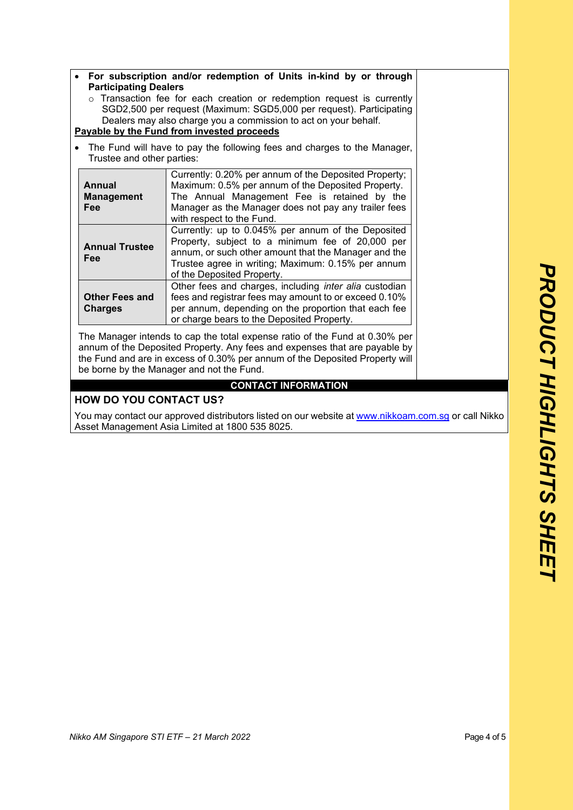| For subscription and/or redemption of Units in-kind by or through<br><b>Participating Dealers</b><br>$\circ$ Transaction fee for each creation or redemption request is currently<br>SGD2,500 per request (Maximum: SGD5,000 per request). Participating<br>Dealers may also charge you a commission to act on your behalf.<br>Payable by the Fund from invested proceeds<br>The Fund will have to pay the following fees and charges to the Manager, |                                                                                                                                                                                                                                                    |  |
|-------------------------------------------------------------------------------------------------------------------------------------------------------------------------------------------------------------------------------------------------------------------------------------------------------------------------------------------------------------------------------------------------------------------------------------------------------|----------------------------------------------------------------------------------------------------------------------------------------------------------------------------------------------------------------------------------------------------|--|
| Trustee and other parties:<br>Currently: 0.20% per annum of the Deposited Property;                                                                                                                                                                                                                                                                                                                                                                   |                                                                                                                                                                                                                                                    |  |
| <b>Annual</b><br><b>Management</b><br>Fee                                                                                                                                                                                                                                                                                                                                                                                                             | Maximum: 0.5% per annum of the Deposited Property.<br>The Annual Management Fee is retained by the<br>Manager as the Manager does not pay any trailer fees<br>with respect to the Fund.                                                            |  |
| <b>Annual Trustee</b><br>Fee                                                                                                                                                                                                                                                                                                                                                                                                                          | Currently: up to 0.045% per annum of the Deposited<br>Property, subject to a minimum fee of 20,000 per<br>annum, or such other amount that the Manager and the<br>Trustee agree in writing; Maximum: 0.15% per annum<br>of the Deposited Property. |  |
| <b>Other Fees and</b><br><b>Charges</b>                                                                                                                                                                                                                                                                                                                                                                                                               | Other fees and charges, including inter alia custodian<br>fees and registrar fees may amount to or exceed 0.10%<br>per annum, depending on the proportion that each fee<br>or charge bears to the Deposited Property.                              |  |

annum of the Deposited Property. Any fees and expenses that are payable by the Fund and are in excess of 0.30% per annum of the Deposited Property will be borne by the Manager and not the Fund.

## **CONTACT INFORMATION**

## **HOW DO YOU CONTACT US?**

You may contact our approved distributors listed on our website at www.nikkoam.com.sg or call Nikko Asset Management Asia Limited at 1800 535 8025.